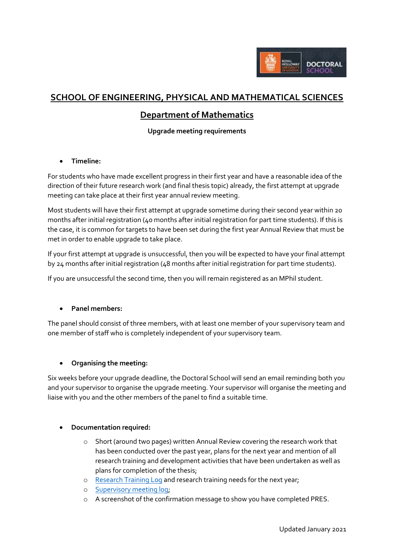

# **SCHOOL OF ENGINEERING, PHYSICAL AND MATHEMATICAL SCIENCES**

## **Department of Mathematics**

## **Upgrade meeting requirements**

## **Timeline:**

For students who have made excellent progress in their first year and have a reasonable idea of the direction of their future research work (and final thesis topic) already, the first attempt at upgrade meeting can take place at their first year annual review meeting.

Most students will have their first attempt at upgrade sometime during their second year within 20 months after initial registration (40 months after initial registration for part time students). If this is the case, it is common for targets to have been set during the first year Annual Review that must be met in order to enable upgrade to take place.

If your first attempt at upgrade is unsuccessful, then you will be expected to have your final attempt by 24 months after initial registration (48 months after initial registration for part time students).

If you are unsuccessful the second time, then you will remain registered as an MPhil student.

#### **Panel members:**

The panel should consist of three members, with at least one member of your supervisory team and one member of staff who is completely independent of your supervisory team.

#### **Organising the meeting:**

Six weeks before your upgrade deadline, the Doctoral School will send an email reminding both you and your supervisor to organise the upgrade meeting. Your supervisor will organise the meeting and liaise with you and the other members of the panel to find a suitable time.

#### **Documentation required:**

- o Short (around two pages) written Annual Review covering the research work that has been conducted over the past year, plans for the next year and mention of all research training and development activities that have been undertaken as well as plans for completion of the thesis;
- o [Research Training Log](https://intranet.royalholloway.ac.uk/doctoral-school/assets/docs/doc/new-research-log.docx) and research training needs for the next year;
- o [Supervisory meeting log;](https://intranet.royalholloway.ac.uk/doctoral-school/assets/docs/doc/pgr-record-of-supervisor-contacts.docx)
- o A screenshot of the confirmation message to show you have completed PRES.